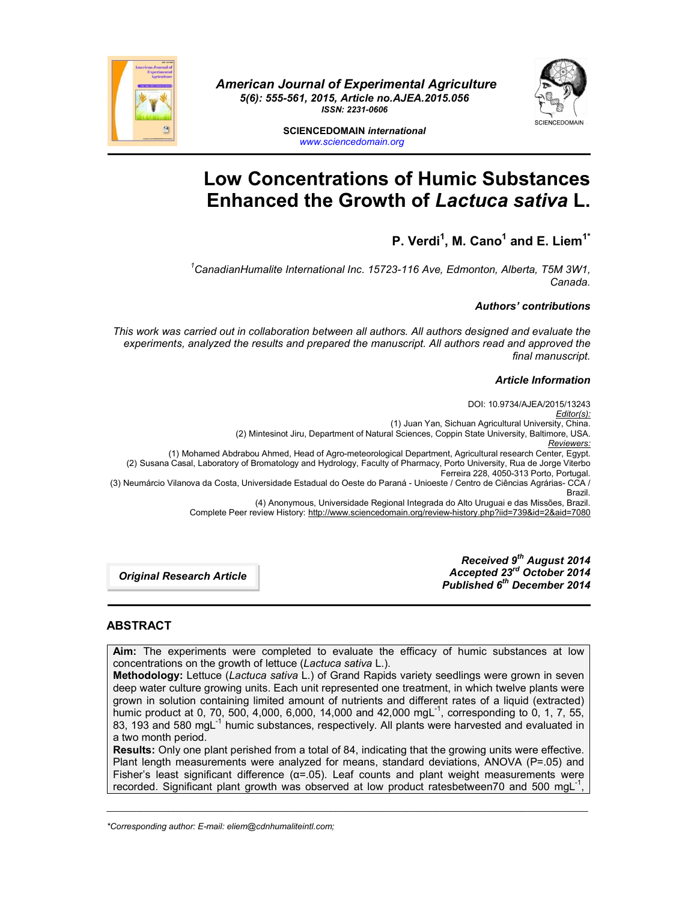

*American Journal of Experimental Agriculture 5(6): 555-561, 2015, Article no.AJEA.2015.056 ISSN: 2231-0606*



**SCIENCEDOMAIN** *international www.sciencedomain.org*

# **Low Concentrations of Humic Substances Enhanced the Growth of** *Lactuca sativa* **L.**

# **P. Verdi1 , M. Cano1 and E. Liem1\***

*1 CanadianHumalite International Inc. 15723-116 Ave, Edmonton, Alberta, T5M 3W1, Canada.*

# *Authors' contributions*

*This work was carried out in collaboration between all authors. All authors designed and evaluate the experiments, analyzed the results and prepared the manuscript. All authors read and approved the final manuscript.*

#### *Article Information*

DOI: 10.9734/AJEA/2015/13243 *Editor(s):* (1) Juan Yan, Sichuan Agricultural University, China. (2) Mintesinot Jiru, Department of Natural Sciences, Coppin State University, Baltimore, USA. *Reviewers:* (1) Mohamed Abdrabou Ahmed, Head of Agro-meteorological Department, Agricultural research Center, Egypt. (2) Susana Casal, Laboratory of Bromatology and Hydrology, Faculty of Pharmacy, Porto University, Rua de Jorge Viterbo Ferreira 228, 4050-313 Porto, Portugal. (3) Neumárcio Vilanova da Costa, Universidade Estadual do Oeste do Paraná - Unioeste / Centro de Ciências Agrárias- CCA / Brazil. (4) Anonymous, Universidade Regional Integrada do Alto Uruguai e das Missões, Brazil. Complete Peer review History: http://www.sciencedomain.org/review-history.php?iid=739&id=2&aid=7080

> *Received 9th August 2014 Accepted 23rd October 2014 Published 6th December 2014*

*Original Research Article*

# **ABSTRACT**

**Aim:** The experiments were completed to evaluate the efficacy of humic substances at low concentrations on the growth of lettuce (*Lactuca sativa* L.).

**Methodology:** Lettuce (*Lactuca sativa* L.) of Grand Rapids variety seedlings were grown in seven deep water culture growing units. Each unit represented one treatment, in which twelve plants were grown in solution containing limited amount of nutrients and different rates of a liquid (extracted) numic product at 0, 70, 500, 4,000, 6,000, 14,000 and 42,000 mgL<sup>-1</sup>, corresponding to 0, 1, 7, 55, 83, 193 and 580 mgL<sup>-1</sup> humic substances, respectively. All plants were harvested and evaluated in a two month period.

**Results:** Only one plant perished from a total of 84, indicating that the growing units were effective. Plant length measurements were analyzed for means, standard deviations, ANOVA (P=.05) and Fisher's least significant difference ( $\alpha$ =.05). Leaf counts and plant weight measurements were recorded. Significant plant growth was observed at low product ratesbetween70 and 500 mgL ,

\_\_\_\_\_\_\_\_\_\_\_\_\_\_\_\_\_\_\_\_\_\_\_\_\_\_\_\_\_\_\_\_\_\_\_\_\_\_\_\_\_\_\_\_\_\_\_\_\_\_\_\_\_\_\_\_\_\_\_\_\_\_\_\_\_\_\_\_\_\_\_\_\_\_\_\_\_\_\_\_\_\_\_\_\_\_\_\_\_\_\_\_\_\_\_\_\_\_\_\_\_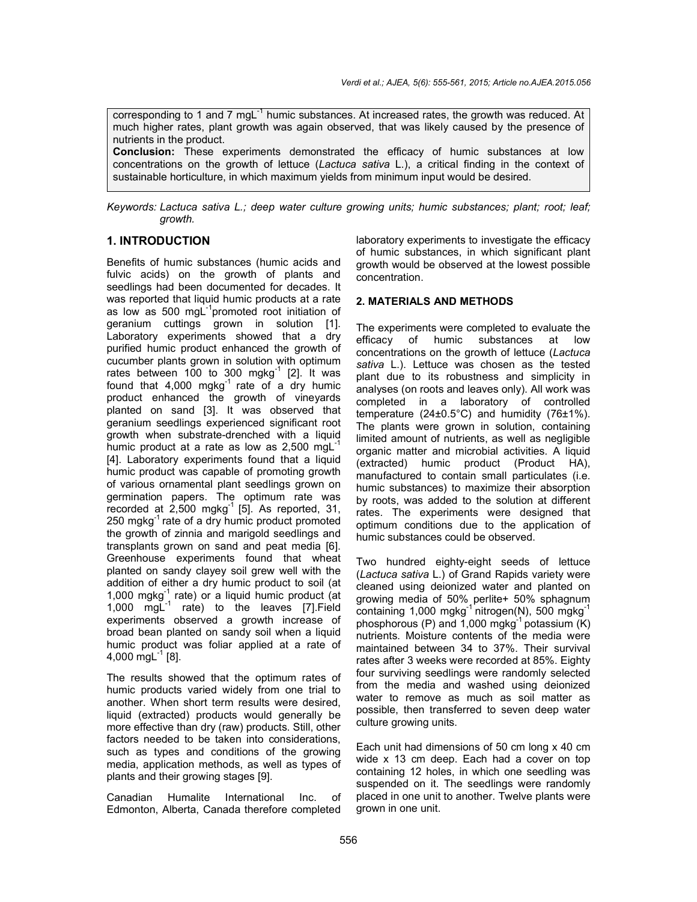corresponding to 1 and 7 mg $L^{-1}$  humic substances. At increased rates, the growth was reduced. At much higher rates, plant growth was again observed, that was likely caused by the presence of nutrients in the product. **Conclusion:** These experiments demonstrated the efficacy of humic substances at low

concentrations on the growth of lettuce (*Lactuca sativa* L.), a critical finding in the context of sustainable horticulture, in which maximum yields from minimum input would be desired.

*Keywords: Lactuca sativa L.; deep water culture growing units; humic substances; plant; root; leaf; growth.*

# **1. INTRODUCTION**

Benefits of humic substances (humic acids and fulvic acids) on the growth of plants and seedlings had been documented for decades. It was reported that liquid humic products at a rate as low as 500 mgL<sup>-1</sup>promoted root initiation of geranium cuttings grown in solution [1]. Laboratory experiments showed that a dry purified humic product enhanced the growth of cucumber plants grown in solution with optimum rates between 100 to 300 mgkg $^{-1}$  [2]. It was found that  $4,000$  mgkg<sup>-1</sup> rate of a dry humic product enhanced the growth of vineyards planted on sand [3]. It was observed that geranium seedlings experienced significant root growth when substrate-drenched with a liquid humic product at a rate as low as  $2,500 \text{ mgl}^{-1}$ [4]. Laboratory experiments found that a liquid humic product was capable of promoting growth of various ornamental plant seedlings grown on germination papers. The optimum rate was recorded at  $2,500$  mgkg<sup>-1</sup> [5]. As reported, 31, 250 mgkg $^{-1}$  rate of a dry humic product promoted the growth of zinnia and marigold seedlings and transplants grown on sand and peat media [6]. Greenhouse experiments found that wheat planted on sandy clayey soil grew well with the addition of either a dry humic product to soil (at 1,000 mgkg $^{-1}$  rate) or a liquid humic product (at  $1,000$  mgL<sup>-1</sup> rate) to the leaves [7]. Field experiments observed a growth increase of broad bean planted on sandy soil when a liquid humic product was foliar applied at a rate of 4,000 mg $L^{-1}$  [8].

The results showed that the optimum rates of humic products varied widely from one trial to another. When short term results were desired, liquid (extracted) products would generally be more effective than dry (raw) products. Still, other factors needed to be taken into considerations, such as types and conditions of the growing media, application methods, as well as types of plants and their growing stages [9].

Canadian Humalite International Inc. of Edmonton, Alberta, Canada therefore completed laboratory experiments to investigate the efficacy of humic substances, in which significant plant growth would be observed at the lowest possible concentration.

#### **2. MATERIALS AND METHODS**

The experiments were completed to evaluate the efficacy of humic substances at low concentrations on the growth of lettuce (*Lactuca sativa* L.). Lettuce was chosen as the tested plant due to its robustness and simplicity in analyses (on roots and leaves only). All work was completed in a laboratory of controlled temperature (24±0.5°C) and humidity (76±1%). The plants were grown in solution, containing limited amount of nutrients, as well as negligible organic matter and microbial activities. A liquid (extracted) humic product (Product HA), manufactured to contain small particulates (i.e. humic substances) to maximize their absorption by roots, was added to the solution at different rates. The experiments were designed that optimum conditions due to the application of humic substances could be observed.

Two hundred eighty-eight seeds of lettuce (*Lactuca sativa* L.) of Grand Rapids variety were cleaned using deionized water and planted on growing media of 50% perlite+ 50% sphagnum containing 1,000 mgkg $^{-1}$  nitrogen(N), 500 mgkg $^{-1}$ phosphorous (P) and  $1,000$  mgkg<sup>-1</sup> potassium (K) nutrients. Moisture contents of the media were maintained between 34 to 37%. Their survival rates after 3 weeks were recorded at 85%. Eighty four surviving seedlings were randomly selected from the media and washed using deionized water to remove as much as soil matter as possible, then transferred to seven deep water culture growing units.

Each unit had dimensions of 50 cm long x 40 cm wide x 13 cm deep. Each had a cover on top containing 12 holes, in which one seedling was suspended on it. The seedlings were randomly placed in one unit to another. Twelve plants were grown in one unit.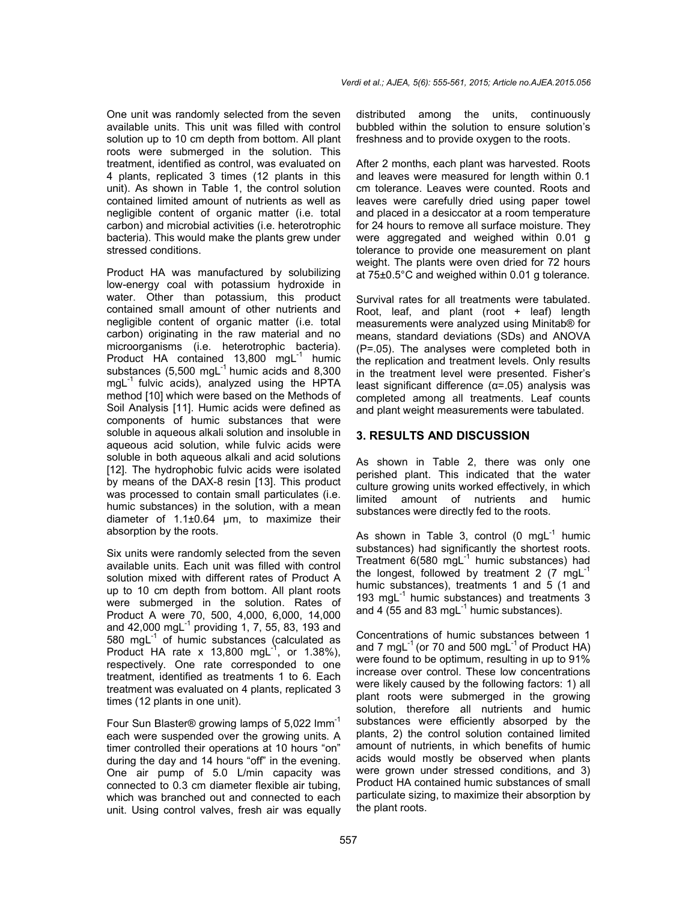One unit was randomly selected from the seven available units. This unit was filled with control solution up to 10 cm depth from bottom. All plant roots were submerged in the solution. This treatment, identified as control, was evaluated on 4 plants, replicated 3 times (12 plants in this unit). As shown in Table 1, the control solution contained limited amount of nutrients as well as negligible content of organic matter (i.e. total carbon) and microbial activities (i.e. heterotrophic bacteria). This would make the plants grew under stressed conditions.

Product HA was manufactured by solubilizing low-energy coal with potassium hydroxide in water. Other than potassium, this product contained small amount of other nutrients and negligible content of organic matter (i.e. total carbon) originating in the raw material and no microorganisms (i.e. heterotrophic bacteria). Product HA contained 13,800 mgL<sup>-1</sup> humic substances  $(5,500 \text{ mgL}^{-1})$  humic acids and 8,300  $mgL^{-1}$  fulvic acids), analyzed using the HPTA method [10] which were based on the Methods of Soil Analysis [11]. Humic acids were defined as components of humic substances that were soluble in aqueous alkali solution and insoluble in aqueous acid solution, while fulvic acids were soluble in both aqueous alkali and acid solutions [12]. The hydrophobic fulvic acids were isolated by means of the DAX-8 resin [13]. This product was processed to contain small particulates (i.e. humic substances) in the solution, with a mean diameter of 1.1±0.64 μm, to maximize their absorption by the roots.

Six units were randomly selected from the seven available units. Each unit was filled with control solution mixed with different rates of Product A up to 10 cm depth from bottom. All plant roots were submerged in the solution. Rates of Product A were 70, 500, 4,000, 6,000, 14,000 and 42,000 mg $L^{-1}$  providing 1, 7, 55, 83, 193 and 580 mgL-1 of humic substances (calculated as Product HA rate x 13,800 mgL<sup>-1</sup>, or 1.38%), respectively. One rate corresponded to one treatment, identified as treatments 1 to 6. Each treatment was evaluated on 4 plants, replicated 3 times (12 plants in one unit).

Four Sun Blaster® growing lamps of 5,022 lmm-1 each were suspended over the growing units. A timer controlled their operations at 10 hours "on" during the day and 14 hours "off" in the evening. One air pump of 5.0 L/min capacity was connected to 0.3 cm diameter flexible air tubing, which was branched out and connected to each unit. Using control valves, fresh air was equally distributed among the units, continuously bubbled within the solution to ensure solution's freshness and to provide oxygen to the roots.

After 2 months, each plant was harvested. Roots and leaves were measured for length within 0.1 cm tolerance. Leaves were counted. Roots and leaves were carefully dried using paper towel and placed in a desiccator at a room temperature for 24 hours to remove all surface moisture. They were aggregated and weighed within 0.01 g tolerance to provide one measurement on plant weight. The plants were oven dried for 72 hours at 75±0.5°C and weighed within 0.01 g tolerance.

Survival rates for all treatments were tabulated. Root, leaf, and plant (root + leaf) length measurements were analyzed using Minitab® for means, standard deviations (SDs) and ANOVA (P=.05). The analyses were completed both in the replication and treatment levels. Only results in the treatment level were presented. Fisher's least significant difference  $(α=0.05)$  analysis was completed among all treatments. Leaf counts and plant weight measurements were tabulated.

### **3. RESULTS AND DISCUSSION**

As shown in Table 2, there was only one perished plant. This indicated that the water culture growing units worked effectively, in which limited amount of nutrients and humic substances were directly fed to the roots.

As shown in Table 3, control  $(0 \text{ mgl}^{-1})$  humic substances) had significantly the shortest roots. Treatment  $6(580 \text{ mgL}^{-1})$  humic substances) had the longest, followed by treatment 2  $(7 \text{ mgl}^{-1})$ humic substances), treatments 1 and 5 (1 and 193 mg $L^{-1}$  humic substances) and treatments 3 and 4  $(55$  and 83 mgL $^{-1}$  humic substances).

Concentrations of humic substances between 1 and 7 mgL $^{-1}$  (or 70 and 500 mgL $^{-1}$  of Product HA) were found to be optimum, resulting in up to 91% increase over control. These low concentrations were likely caused by the following factors: 1) all plant roots were submerged in the growing solution, therefore all nutrients and humic substances were efficiently absorped by the plants, 2) the control solution contained limited amount of nutrients, in which benefits of humic acids would mostly be observed when plants were grown under stressed conditions, and 3) Product HA contained humic substances of small particulate sizing, to maximize their absorption by the plant roots.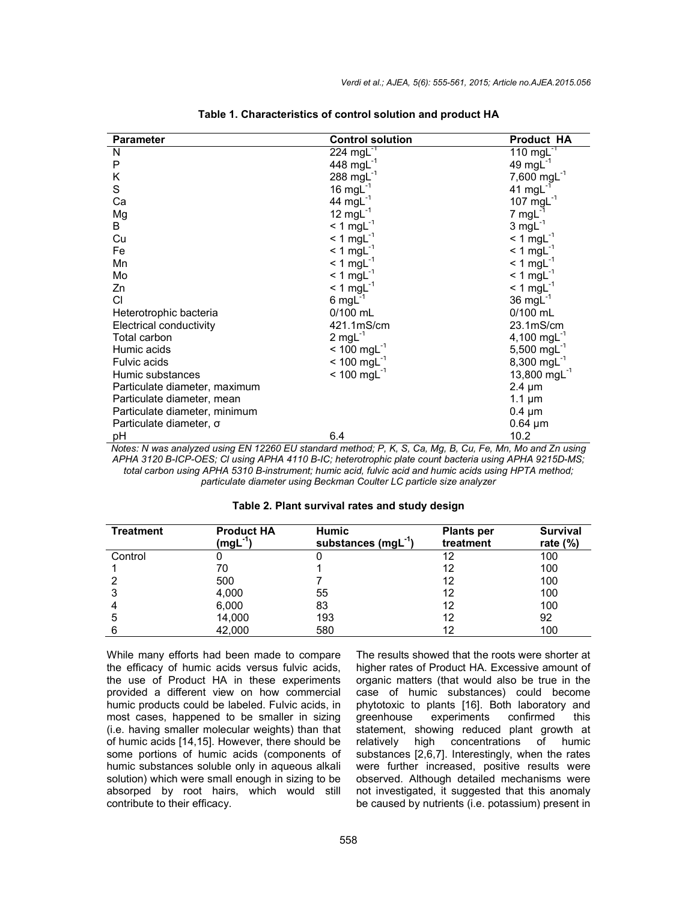| <b>Parameter</b>              | <b>Control solution</b>   | <b>Product HA</b>        |
|-------------------------------|---------------------------|--------------------------|
| N                             | 224 mg $L^{-1}$           | 110 mg $L^{-1}$          |
| P                             | 448 mg $L^{-1}$           | 49 mg $L^{-1}$           |
| Κ                             | 288 mg $L^{-1}$           | 7,600 mg $L^{-1}$        |
| S                             | 16 mg $L^{-1}$            | 41 mg $L^{-1}$           |
| Ca                            | 44 mg $L^{-1}$            | 107 mg $L^{-1}$          |
| Mg                            | 12 mg $L^{-1}$            | $7 \text{ mgl}^{-1}$     |
| B                             | $< 1$ mgL <sup>-1</sup>   | $3 \text{ mgl}^{-1}$     |
| Cu                            | $< 1$ mgL <sup>-1</sup>   | $< 1$ mgL <sup>-1</sup>  |
| Fe                            | $<$ 1 mgL <sup>-1</sup>   | $<$ 1 mgL <sup>-1</sup>  |
| Mn                            | $<$ 1 mgL <sup>-1</sup>   | $< 1$ mgL <sup>-1</sup>  |
| Mo                            | $<$ 1 mgL <sup>-1</sup>   | $< 1$ mgL <sup>-1</sup>  |
| Zn                            | $<$ 1 mgL <sup>-1</sup>   | $< 1$ mgL <sup>-1</sup>  |
| CI                            | $6 \text{ mgl}^{-1}$      | 36 mg $L^{-1}$           |
| Heterotrophic bacteria        | 0/100 mL                  | 0/100 mL                 |
| Electrical conductivity       | 421.1mS/cm                | 23.1mS/cm                |
| Total carbon                  | $2$ mgL <sup>-1</sup>     | 4,100 mg $L^{-1}$        |
| Humic acids                   | $< 100$ mgL <sup>-1</sup> | 5,500 mg $L^{-1}$        |
| <b>Fulvic acids</b>           | $< 100$ mgL <sup>-1</sup> | 8,300 mg $L^{-1}$        |
| Humic substances              | $< 100$ mgL <sup>-1</sup> | 13,800 mgL <sup>-1</sup> |
| Particulate diameter, maximum |                           | $2.4 \mu m$              |
| Particulate diameter, mean    |                           | 1.1 $\mu$ m              |
| Particulate diameter, minimum |                           | $0.4 \mu m$              |
| Particulate diameter, o       |                           | $0.64 \mu m$             |
| рH                            | 6.4                       | 10.2                     |

*Notes: N was analyzed using EN 12260 EU standard method; P, K, S, Ca, Mg, B, Cu, Fe, Mn, Mo and Zn using APHA 3120 B-ICP-OES; Cl using APHA 4110 B-IC; heterotrophic plate count bacteria using APHA 9215D-MS; total carbon using APHA 5310 B-instrument; humic acid, fulvic acid and humic acids using HPTA method; particulate diameter using Beckman Coulter LC particle size analyzer*

| Table 2. Plant survival rates and study design |  |
|------------------------------------------------|--|
|------------------------------------------------|--|

| <b>Treatment</b> | <b>Product HA</b> | <b>Humic</b>            | <b>Plants per</b> | <b>Survival</b> |
|------------------|-------------------|-------------------------|-------------------|-----------------|
|                  | $(mgL-1)$         | substances $(mgl^{-1})$ | treatment         | rate $(\%)$     |
| Control          |                   |                         | 12                | 100             |
|                  | 70                |                         | 12                | 100             |
|                  | 500               |                         | 12                | 100             |
| 3                | 4,000             | 55                      | 12                | 100             |
| 4                | 6,000             | 83                      | 12                | 100             |
| 5                | 14,000            | 193                     | 12                | 92              |
|                  | 42,000            | 580                     | 12                | 100             |

While many efforts had been made to compare the efficacy of humic acids versus fulvic acids, the use of Product HA in these experiments provided a different view on how commercial humic products could be labeled. Fulvic acids, in most cases, happened to be smaller in sizing (i.e. having smaller molecular weights) than that of humic acids [14,15]. However, there should be some portions of humic acids (components of humic substances soluble only in aqueous alkali solution) which were small enough in sizing to be absorped by root hairs, which would still contribute to their efficacy.

The results showed that the roots were shorter at higher rates of Product HA. Excessive amount of organic matters (that would also be true in the case of humic substances) could become phytotoxic to plants [16]. Both laboratory and greenhouse experiments confirmed this experiments confirmed this statement, showing reduced plant growth at relatively high concentrations of humic substances [2,6,7]. Interestingly, when the rates were further increased, positive results were observed. Although detailed mechanisms were not investigated, it suggested that this anomaly be caused by nutrients (i.e. potassium) present in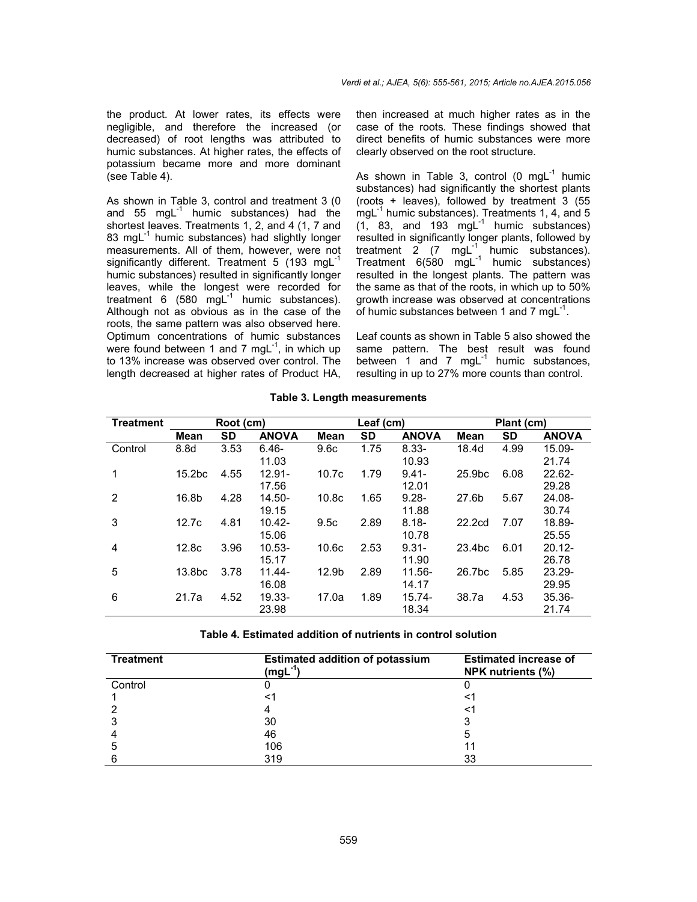the product. At lower rates, its effects were negligible, and therefore the increased (or decreased) of root lengths was attributed to humic substances. At higher rates, the effects of potassium became more and more dominant (see Table 4).

As shown in Table 3, control and treatment 3 (0 and  $55 \text{ mgl}^{-1}$  humic substances) had the shortest leaves. Treatments 1, 2, and 4 (1, 7 and 83 mg $L^{-1}$  humic substances) had slightly longer measurements. All of them, however, were not significantly different. Treatment 5 (193 mg $L^{-1}$ humic substances) resulted in significantly longer leaves, while the longest were recorded for treatment 6 (580 mg $L^{-1}$  humic substances). Although not as obvious as in the case of the roots, the same pattern was also observed here. Optimum concentrations of humic substances were found between 1 and 7 mgL $^{-1}$ , in which up to 13% increase was observed over control. The length decreased at higher rates of Product HA,

then increased at much higher rates as in the case of the roots. These findings showed that direct benefits of humic substances were more clearly observed on the root structure.

As shown in Table 3, control (0 mg $L^{-1}$  humic substances) had significantly the shortest plants (roots + leaves), followed by treatment 3 (55  $mgL^{-1}$  humic substances). Treatments 1, 4, and 5  $(1, 83,$  and 193 mg $L^{-1}$  humic substances) resulted in significantly longer plants, followed by treatment  $2 \times 7$  mgL<sup>-1</sup> humic substances). Treatment  $6(580 \text{ mgL}^{-1}$  humic substances) resulted in the longest plants. The pattern was the same as that of the roots, in which up to 50% growth increase was observed at concentrations of humic substances between 1 and 7 mgL $^{-1}$ .

Leaf counts as shown in Table 5 also showed the same pattern. The best result was found between 1 and 7 mgL<sup>-1</sup> humic substances, resulting in up to 27% more counts than control.

| <b>Treatment</b> | Root (cm)          |           |              | Leaf (cm)         |           | Plant (cm)   |                    |           |              |
|------------------|--------------------|-----------|--------------|-------------------|-----------|--------------|--------------------|-----------|--------------|
|                  | Mean               | <b>SD</b> | <b>ANOVA</b> | Mean              | <b>SD</b> | <b>ANOVA</b> | Mean               | <b>SD</b> | <b>ANOVA</b> |
| Control          | 8.8d               | 3.53      | $6.46 -$     | 9.6 <sub>c</sub>  | 1.75      | $8.33 -$     | 18.4d              | 4.99      | 15.09-       |
|                  |                    |           | 11.03        |                   |           | 10.93        |                    |           | 21.74        |
| 1                | 15.2 <sub>bc</sub> | 4.55      | $12.91 -$    | 10.7c             | 1.79      | $9.41 -$     | 25.9 <sub>bc</sub> | 6.08      | $22.62 -$    |
|                  |                    |           | 17.56        |                   |           | 12.01        |                    |           | 29.28        |
| 2                | 16.8b              | 4.28      | 14.50-       | 10.8 <sub>c</sub> | 1.65      | $9.28 -$     | 27.6b              | 5.67      | $24.08 -$    |
|                  |                    |           | 19.15        |                   |           | 11.88        |                    |           | 30.74        |
| 3                | 12.7c              | 4.81      | $10.42 -$    | 9.5c              | 2.89      | $8.18 -$     | 22.2cd             | 7.07      | 18.89-       |
|                  |                    |           | 15.06        |                   |           | 10.78        |                    |           | 25.55        |
| 4                | 12.8c              | 3.96      | $10.53 -$    | 10.6 <sub>c</sub> | 2.53      | $9.31 -$     | 23.4 <sub>bc</sub> | 6.01      | $20.12 -$    |
|                  |                    |           | 15.17        |                   |           | 11.90        |                    |           | 26.78        |
| 5                | 13.8 <sub>bc</sub> | 3.78      | $11.44 -$    | 12.9b             | 2.89      | 11.56-       | 26.7bc             | 5.85      | 23.29-       |
|                  |                    |           | 16.08        |                   |           | 14.17        |                    |           | 29.95        |
| 6                | 21.7a              | 4.52      | 19.33-       | 17.0a             | 1.89      | $15.74 -$    | 38.7a              | 4.53      | $35.36 -$    |
|                  |                    |           | 23.98        |                   |           | 18.34        |                    |           | 21.74        |

**Table 3. Length measurements**

**Table 4. Estimated addition of nutrients in control solution**

| <b>Treatment</b> | <b>Estimated addition of potassium</b><br>$(mgL-1)$ | <b>Estimated increase of</b><br>NPK nutrients (%) |  |  |
|------------------|-----------------------------------------------------|---------------------------------------------------|--|--|
| Control          |                                                     |                                                   |  |  |
|                  |                                                     |                                                   |  |  |
|                  |                                                     |                                                   |  |  |
|                  | 30                                                  |                                                   |  |  |
|                  | 46                                                  | 5                                                 |  |  |
| 5                | 106                                                 |                                                   |  |  |
|                  | 319                                                 | 33                                                |  |  |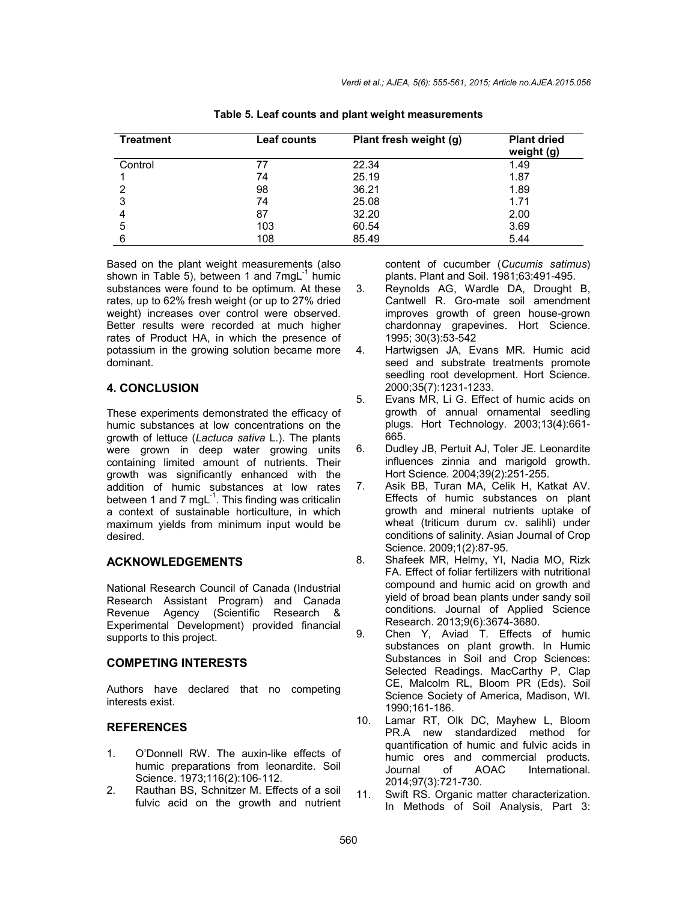| <b>Treatment</b> | Leaf counts | Plant fresh weight (g) | <b>Plant dried</b><br>weight (g) |
|------------------|-------------|------------------------|----------------------------------|
| Control          | 77          | 22.34                  | 1.49                             |
|                  | 74          | 25.19                  | 1.87                             |
| 2                | 98          | 36.21                  | 1.89                             |
| 3                | 74          | 25.08                  | 1.71                             |
|                  | 87          | 32.20                  | 2.00                             |
| 5                | 103         | 60.54                  | 3.69                             |
| 6                | 108         | 85.49                  | 5.44                             |

**Table 5. Leaf counts and plant weight measurements**

Based on the plant weight measurements (also shown in Table 5), between 1 and  $7 \text{ mgl}^{-1}$  humic substances were found to be optimum. At these rates, up to 62% fresh weight (or up to 27% dried weight) increases over control were observed. Better results were recorded at much higher rates of Product HA, in which the presence of potassium in the growing solution became more dominant.

#### **4. CONCLUSION**

These experiments demonstrated the efficacy of humic substances at low concentrations on the growth of lettuce (*Lactuca sativa* L.). The plants were grown in deep water growing units containing limited amount of nutrients. Their growth was significantly enhanced with the addition of humic substances at low rates between 1 and 7 mgL $^{-1}$ . This finding was criticalin a context of sustainable horticulture, in which maximum yields from minimum input would be desired.

#### **ACKNOWLEDGEMENTS**

National Research Council of Canada (Industrial Research Assistant Program) and Canada Revenue Agency (Scientific Research & Experimental Development) provided financial supports to this project.

#### **COMPETING INTERESTS**

Authors have declared that no competing interests exist.

#### **REFERENCES**

- 1. O'Donnell RW. The auxin-like effects of humic preparations from leonardite. Soil Science. 1973;116(2):106-112.
- 2. Rauthan BS, Schnitzer M. Effects of a soil fulvic acid on the growth and nutrient

content of cucumber (*Cucumis satimus*) plants. Plant and Soil. 1981;63:491-495.

- 3. Reynolds AG, Wardle DA, Drought B, Cantwell R. Gro-mate soil amendment improves growth of green house-grown chardonnay grapevines. Hort Science. 1995; 30(3):53-542
- 4. Hartwigsen JA, Evans MR. Humic acid seed and substrate treatments promote seedling root development. Hort Science. 2000;35(7):1231-1233.
- 5. Evans MR, Li G. Effect of humic acids on growth of annual ornamental seedling plugs. Hort Technology. 2003;13(4):661- 665.
- 6. Dudley JB, Pertuit AJ, Toler JE. Leonardite influences zinnia and marigold growth. Hort Science. 2004;39(2):251-255.
- 7. Asik BB, Turan MA, Celik H, Katkat AV. Effects of humic substances on plant growth and mineral nutrients uptake of wheat (triticum durum cv. salihli) under conditions of salinity. Asian Journal of Crop Science. 2009;1(2):87-95.
- 8. Shafeek MR, Helmy, YI, Nadia MO, Rizk FA. Effect of foliar fertilizers with nutritional compound and humic acid on growth and yield of broad bean plants under sandy soil conditions. Journal of Applied Science Research. 2013;9(6):3674-3680.
- 9. Chen Y, Aviad T. Effects of humic substances on plant growth. In Humic Substances in Soil and Crop Sciences: Selected Readings. MacCarthy P, Clap CE, Malcolm RL, Bloom PR (Eds). Soil Science Society of America, Madison, WI. 1990;161-186.
- 10. Lamar RT, Olk DC, Mayhew L, Bloom PR.A new standardized method for quantification of humic and fulvic acids in humic ores and commercial products*.* Journal of AOAC International. 2014;97(3):721-730.
- 11. Swift RS. Organic matter characterization. In Methods of Soil Analysis, Part 3: